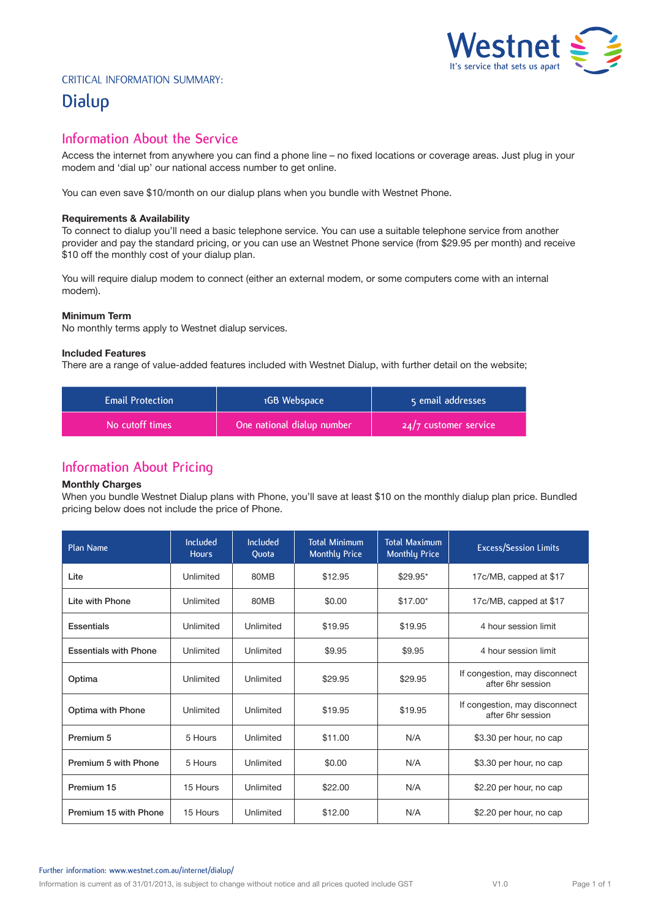

### Critical Information Summary:

# **Dialup**

## **Information About the Service**

Access the internet from anywhere you can find a phone line – no fixed locations or coverage areas. Just plug in your modem and 'dial up' our national access number to get online.

You can even save \$10/month on our dialup plans when you bundle with Westnet Phone.

#### **Requirements & Availability**

To connect to dialup you'll need a basic telephone service. You can use a suitable telephone service from another provider and pay the standard pricing, or you can use an Westnet Phone service (from \$29.95 per month) and receive \$10 off the monthly cost of your dialup plan.

You will require dialup modem to connect (either an external modem, or some computers come with an internal modem).

#### **Minimum Term**

No monthly terms apply to Westnet dialup services.

#### **Included Features**

There are a range of value-added features included with Westnet Dialup, with further detail on the website;

| <b>Email Protection</b> | 1GB Webspace               | 5 email addresses       |  |
|-------------------------|----------------------------|-------------------------|--|
| No cutoff times         | One national dialup number | $24/7$ customer service |  |

## **Information About Pricing**

#### **Monthly Charges**

When you bundle Westnet Dialup plans with Phone, you'll save at least \$10 on the monthly dialup plan price. Bundled pricing below does not include the price of Phone.

| Plan Name                    | <b>Included</b><br><b>Hours</b> | <b>Included</b><br>Quota | <b>Total Minimum</b><br><b>Monthly Price</b> | <b>Total Maximum</b><br><b>Monthly Price</b> | <b>Excess/Session Limits</b>                       |
|------------------------------|---------------------------------|--------------------------|----------------------------------------------|----------------------------------------------|----------------------------------------------------|
| Lite                         | Unlimited                       | 80MB                     | \$12.95                                      | $$29.95*$                                    | 17c/MB, capped at \$17                             |
| Lite with Phone              | Unlimited                       | 80MB                     | \$0.00                                       | $$17.00*$                                    | 17c/MB, capped at \$17                             |
| Essentials                   | Unlimited                       | Unlimited                | \$19.95                                      | \$19.95                                      | 4 hour session limit                               |
| <b>Essentials with Phone</b> | Unlimited                       | Unlimited                | \$9.95                                       | \$9.95                                       | 4 hour session limit                               |
| Optima                       | Unlimited                       | Unlimited                | \$29.95                                      | \$29.95                                      | If congestion, may disconnect<br>after 6hr session |
| Optima with Phone            | Unlimited                       | Unlimited                | \$19.95                                      | \$19.95                                      | If congestion, may disconnect<br>after 6hr session |
| Premium 5                    | 5 Hours                         | Unlimited                | \$11.00                                      | N/A                                          | \$3.30 per hour, no cap                            |
| Premium 5 with Phone         | 5 Hours                         | Unlimited                | \$0.00                                       | N/A                                          | \$3.30 per hour, no cap                            |
| Premium 15                   | 15 Hours                        | Unlimited                | \$22.00                                      | N/A                                          | \$2.20 per hour, no cap                            |
| Premium 15 with Phone        | 15 Hours                        | Unlimited                | \$12.00                                      | N/A                                          | \$2.20 per hour, no cap                            |